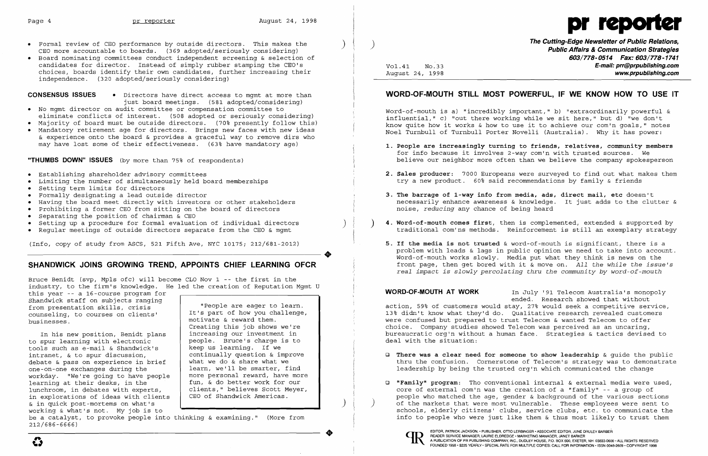

- • Formal review of CEO performance by outside directors. This makes the CEO more accountable to boards. (369 adopted/seriously considering)
- • Board nominating committees conduct independent screening & selection of candidates for director. Instead of simply rubber stamping the CEO's choices, boards identify their own candidates, further increasing their independence. (320 adopted/seriously considering)

**CONSENSUS ISSUES •** Directors have direct access to mgmt at more than just board meetings. (581 adopted/considering)

- • No mgmt director on audit committee or compensation committee to
- eliminate conflicts of interest. (508 adopted or seriously considering)
- • Majority of board must be outside directors. (70% presently follow this)
- • Mandatory retirement age for directors. Brings new faces with new ideas & experience onto the board & provides a graceful way to remove dirs who may have lost some of their effectiveness. (63% have mandatory age)

**"THUMBS DOWN" ISSUES** (by more than 75% of respondents)

Bruce Benidt (svp, Mpls ofc) will become CLO Nov 1 -- the first in the industry, to the firm's knowledge. He led the creation of Reputation Mgmt U

- • Establishing shareholder advisory committees
- • Limiting the number of simultaneously held board memberships
- • Setting term limits for directors
- • Formally designating a lead outside director
- • Having the board meet directly with investors or other stakeholders
- • Prohibiting a former CEO from sitting on the board of directors
- • Separating the position of chairman & CEO
- Setting up a procedure for formal evaluation of individual directors
- • Regular meetings of outside directors separate from the CEO & mgmt

(Info, copy of study from ASCS, 521 Fifth Ave, NYC 10175; 212/681-2012)

# **SHANDWICK JOINS GROWING TREND, APPOINTS CHIEF LEARNING OFCR**

•

this year -- a 16-course program for Shandwick staff on subjects ranging from presentation skills, crisis counseling, to courses on clients' businesses.

In his new position, Benidt plans to spur learning with electronic tools such as e-mail & Shandwick's intranet, & to spur discussion, debate & pass on experience in brief one-on-one exchanges during the workday. "We're going to have people learning at their desks, in the lunchroom, in debates with experts, in explorations of ideas with clients & in quick post-mortems on what's working & what's not. My job is to

be a catalyst, to provoke people into thinking & examining." (More from 212/686-6666)

- **Q** There was a clear need for someone to show leadership & quide the public
- **o "Family" program:** Tho conventional internal & external media were used,



"People are eager to learn. It's part of how you challenge, motivate & reward them. Creating this job shows we're increasing our investment in people. Bruce's charge is to keep us learning. If we continually question & improve what we do & share what we learn, we'll be smarter, find more personal reward, have more fun, & do better work for our clients," believes Scott Meyer, CEO of Shandwick Americas.

core of external com'n was the creation of a "family"  $-$  a group of people who matched the age, gender & background of the various sections of the markets that were most vulnerable. These employees were sent to schools, elderly citizens' clubs, service clubs, etc. to communicate the info to people who were just like them & thus most likely to trust them \

) )

**•** 

Vol.41 NO.33 August 24, 1998

 $\overline{\mathbf{C}}$ 

**The Cutting-Edge Newsletter of Public Relations, Public Affairs &Communication Strategies 603/778-0514 Fax: 603/778-1741 E-mail: prr@prpublishing.com www.prpublishing.com** 

## **WORD-OF-MOUTH STILL MOST POWERFUL, IF WE KNOW HOW TO USE IT**

Word-of-mouth is a) "incredibly important," b) "extraordinarily powerful & influential," c) "out there working while we sit here," but d) "we don't know quite how it works & how to use it to achieve our com'n goals," notes Noel Turnbull of Turnbull Porter Novelli (Australia). Why it has power:

**1. People are increasingly turning to friends, relatives, community members**  believe our neighbor more often than we believe the company spokesperson

- for info because it involves 2-way com'n with trusted sources. We
- **2. Sales producer:** 7000 Europeans were surveyed to find out what makes them try a new product. 60% said recommendations by family & friends
- **3. The barrage of I-way info from media, ads, direct mail, etc** doesn't noise, *reducing* any chance of being heard
- ) ) **4. Word-of-mouth comes first,** then is complemented, extended & supported by
- **5. If the media is not trusted** & word-of-mouth is significant, there is a

necessarily enhance awareness & knowledge. It just adds to the clutter &

traditional com'ns methods. Reinforcement is still an exemplary strategy

problem with leads & lags in public opinion we need to take into account . Word-of-mouth works slowly. Media put what they think is news on the front page, then get bored with it & move on. *All the while the issue's real impact is slowly percolating thru the community by word-of-mouth* 

**WORD-OF-MOUTH AT WORK** In July '91 Telecom Australia's monopoly ended. Research showed that without action, 59% of customers would stay, 27% would seek a competitive service, 13% didn't know what they'd do. Qualitative research revealed customers were confused but prepared to trust Telecom & wanted Telecom to offer choice. Company studies showed Telecom was perceived as an uncaring, bureaucratic org'n without a human face. Strategies & tactics devised to deal with the situation:

thru the confusion. Cornerstone of Telecom's strategy was to demonstrate leadership by being the trusted org'n which communicated the change

i